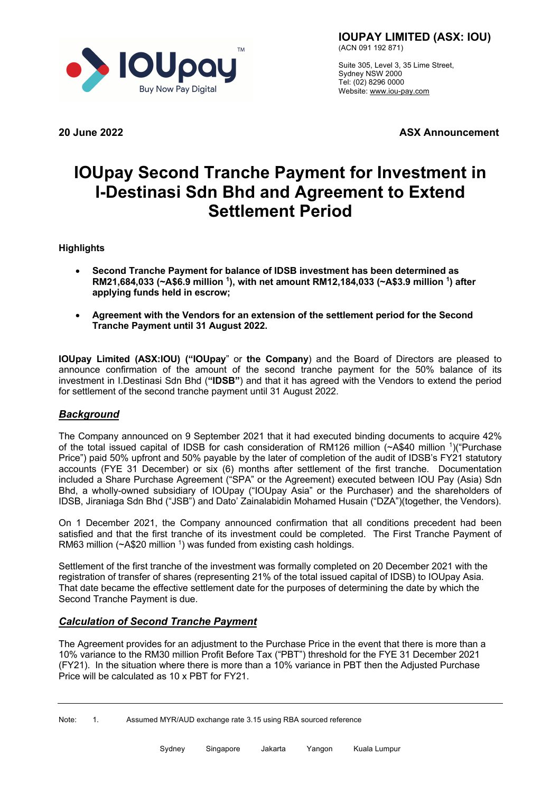

**IOUPAY LIMITED (ASX: IOU)** (ACN 091 192 871)

Suite 305, Level 3, 35 Lime Street, Sydney NSW 2000 Tel: (02) 8296 0000 Website: www.iou-pay.com

**20 June 2022 ASX Announcement**

# **IOUpay Second Tranche Payment for Investment in I-Destinasi Sdn Bhd and Agreement to Extend Settlement Period**

**Highlights**

- **Second Tranche Payment for balance of IDSB investment has been determined as RM21,684,033 (~A\$6.9 million 1), with net amount RM12,184,033 (~A\$3.9 million 1) after applying funds held in escrow;**
- **Agreement with the Vendors for an extension of the settlement period for the Second Tranche Payment until 31 August 2022.**

**IOUpay Limited (ASX:IOU) ("IOUpay**" or **the Company**) and the Board of Directors are pleased to announce confirmation of the amount of the second tranche payment for the 50% balance of its investment in I.Destinasi Sdn Bhd (**"IDSB"**) and that it has agreed with the Vendors to extend the period for settlement of the second tranche payment until 31 August 2022.

# *Background*

The Company announced on 9 September 2021 that it had executed binding documents to acquire 42% of the total issued capital of IDSB for cash consideration of RM126 million (~A\$40 million 1)("Purchase Price") paid 50% upfront and 50% payable by the later of completion of the audit of IDSB's FY21 statutory accounts (FYE 31 December) or six (6) months after settlement of the first tranche. Documentation included a Share Purchase Agreement ("SPA" or the Agreement) executed between IOU Pay (Asia) Sdn Bhd, a wholly-owned subsidiary of IOUpay ("IOUpay Asia" or the Purchaser) and the shareholders of IDSB, Jiraniaga Sdn Bhd ("JSB") and Dato' Zainalabidin Mohamed Husain ("DZA")(together, the Vendors).

On 1 December 2021, the Company announced confirmation that all conditions precedent had been satisfied and that the first tranche of its investment could be completed. The First Tranche Payment of RM63 million ( $\sim$ A\$20 million <sup>1</sup>) was funded from existing cash holdings.

Settlement of the first tranche of the investment was formally completed on 20 December 2021 with the registration of transfer of shares (representing 21% of the total issued capital of IDSB) to IOUpay Asia. That date became the effective settlement date for the purposes of determining the date by which the Second Tranche Payment is due.

## *Calculation of Second Tranche Payment*

The Agreement provides for an adjustment to the Purchase Price in the event that there is more than a 10% variance to the RM30 million Profit Before Tax ("PBT") threshold for the FYE 31 December 2021 (FY21). In the situation where there is more than a 10% variance in PBT then the Adjusted Purchase Price will be calculated as 10 x PBT for FY21.

Note: 1. Assumed MYR/AUD exchange rate 3.15 using RBA sourced reference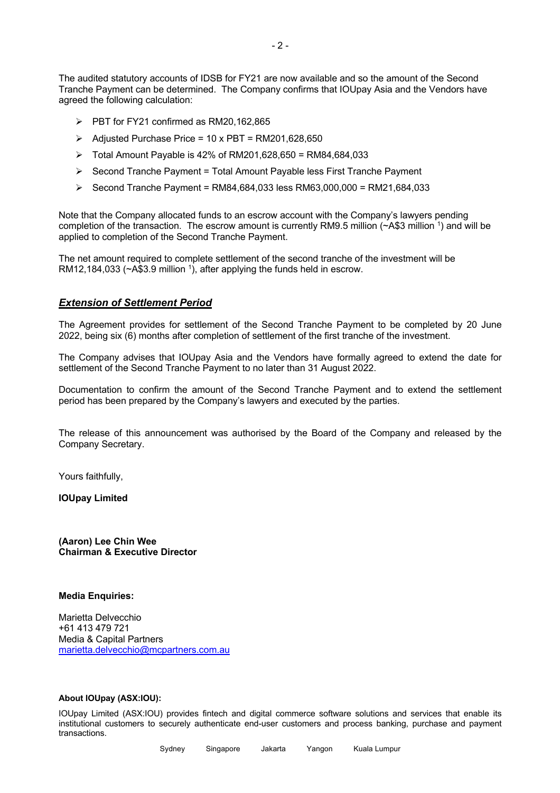The audited statutory accounts of IDSB for FY21 are now available and so the amount of the Second Tranche Payment can be determined. The Company confirms that IOUpay Asia and the Vendors have agreed the following calculation:

- $\triangleright$  PBT for FY21 confirmed as RM20,162,865
- $\triangleright$  Adjusted Purchase Price = 10 x PBT = RM201,628,650
- $\triangleright$  Total Amount Payable is 42% of RM201,628,650 = RM84,684,033
- $\triangleright$  Second Tranche Payment = Total Amount Payable less First Tranche Payment
- Ø Second Tranche Payment = RM84,684,033 less RM63,000,000 = RM21,684,033

Note that the Company allocated funds to an escrow account with the Company's lawyers pending completion of the transaction. The escrow amount is currently RM9.5 million (~A\$3 million 1) and will be applied to completion of the Second Tranche Payment.

The net amount required to complete settlement of the second tranche of the investment will be RM12,184,033 ( $\sim$ A\$3.9 million <sup>1</sup>), after applying the funds held in escrow.

### *Extension of Settlement Period*

The Agreement provides for settlement of the Second Tranche Payment to be completed by 20 June 2022, being six (6) months after completion of settlement of the first tranche of the investment.

The Company advises that IOUpay Asia and the Vendors have formally agreed to extend the date for settlement of the Second Tranche Payment to no later than 31 August 2022.

Documentation to confirm the amount of the Second Tranche Payment and to extend the settlement period has been prepared by the Company's lawyers and executed by the parties.

The release of this announcement was authorised by the Board of the Company and released by the Company Secretary.

Yours faithfully,

**IOUpay Limited** 

**(Aaron) Lee Chin Wee Chairman & Executive Director**

#### **Media Enquiries:**

Marietta Delvecchio +61 413 479 721 Media & Capital Partners marietta.delvecchio@mcpartners.com.au

#### **About IOUpay (ASX:IOU):**

IOUpay Limited (ASX:IOU) provides fintech and digital commerce software solutions and services that enable its institutional customers to securely authenticate end-user customers and process banking, purchase and payment transactions.